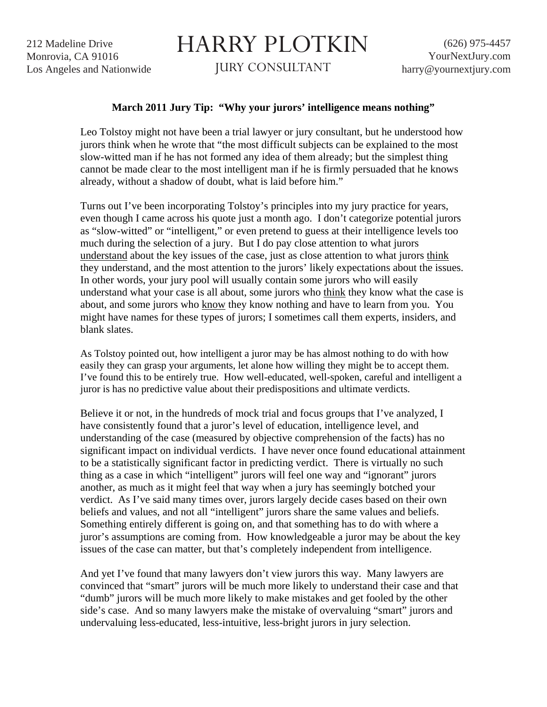212 Madeline Drive Monrovia, CA 91016 Los Angeles and Nationwide

## HARRY PLOTKIN

JURY CONSULTANT

## **March 2011 Jury Tip: "Why your jurors' intelligence means nothing"**

Leo Tolstoy might not have been a trial lawyer or jury consultant, but he understood how jurors think when he wrote that "the most difficult subjects can be explained to the most slow-witted man if he has not formed any idea of them already; but the simplest thing cannot be made clear to the most intelligent man if he is firmly persuaded that he knows already, without a shadow of doubt, what is laid before him."

Turns out I've been incorporating Tolstoy's principles into my jury practice for years, even though I came across his quote just a month ago. I don't categorize potential jurors as "slow-witted" or "intelligent," or even pretend to guess at their intelligence levels too much during the selection of a jury. But I do pay close attention to what jurors understand about the key issues of the case, just as close attention to what jurors think they understand, and the most attention to the jurors' likely expectations about the issues. In other words, your jury pool will usually contain some jurors who will easily understand what your case is all about, some jurors who think they know what the case is about, and some jurors who know they know nothing and have to learn from you. You might have names for these types of jurors; I sometimes call them experts, insiders, and blank slates.

As Tolstoy pointed out, how intelligent a juror may be has almost nothing to do with how easily they can grasp your arguments, let alone how willing they might be to accept them. I've found this to be entirely true. How well-educated, well-spoken, careful and intelligent a juror is has no predictive value about their predispositions and ultimate verdicts.

Believe it or not, in the hundreds of mock trial and focus groups that I've analyzed, I have consistently found that a juror's level of education, intelligence level, and understanding of the case (measured by objective comprehension of the facts) has no significant impact on individual verdicts. I have never once found educational attainment to be a statistically significant factor in predicting verdict. There is virtually no such thing as a case in which "intelligent" jurors will feel one way and "ignorant" jurors another, as much as it might feel that way when a jury has seemingly botched your verdict. As I've said many times over, jurors largely decide cases based on their own beliefs and values, and not all "intelligent" jurors share the same values and beliefs. Something entirely different is going on, and that something has to do with where a juror's assumptions are coming from. How knowledgeable a juror may be about the key issues of the case can matter, but that's completely independent from intelligence.

And yet I've found that many lawyers don't view jurors this way. Many lawyers are convinced that "smart" jurors will be much more likely to understand their case and that "dumb" jurors will be much more likely to make mistakes and get fooled by the other side's case. And so many lawyers make the mistake of overvaluing "smart" jurors and undervaluing less-educated, less-intuitive, less-bright jurors in jury selection.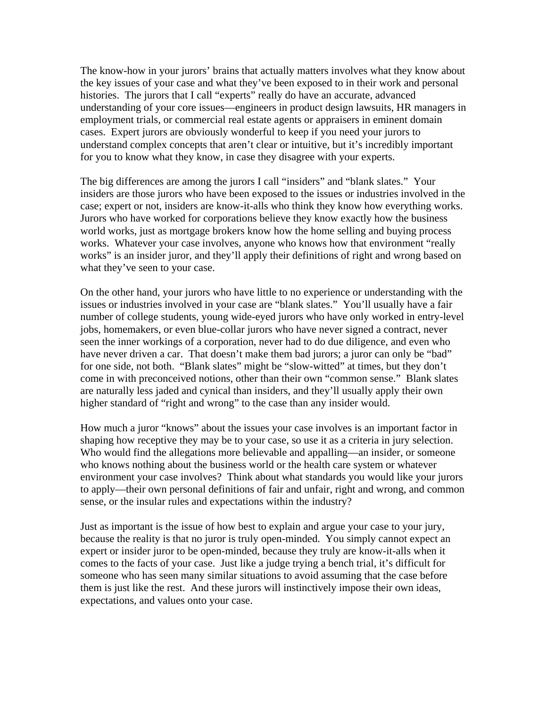The know-how in your jurors' brains that actually matters involves what they know about the key issues of your case and what they've been exposed to in their work and personal histories. The jurors that I call "experts" really do have an accurate, advanced understanding of your core issues—engineers in product design lawsuits, HR managers in employment trials, or commercial real estate agents or appraisers in eminent domain cases. Expert jurors are obviously wonderful to keep if you need your jurors to understand complex concepts that aren't clear or intuitive, but it's incredibly important for you to know what they know, in case they disagree with your experts.

The big differences are among the jurors I call "insiders" and "blank slates." Your insiders are those jurors who have been exposed to the issues or industries involved in the case; expert or not, insiders are know-it-alls who think they know how everything works. Jurors who have worked for corporations believe they know exactly how the business world works, just as mortgage brokers know how the home selling and buying process works. Whatever your case involves, anyone who knows how that environment "really works" is an insider juror, and they'll apply their definitions of right and wrong based on what they've seen to your case.

On the other hand, your jurors who have little to no experience or understanding with the issues or industries involved in your case are "blank slates." You'll usually have a fair number of college students, young wide-eyed jurors who have only worked in entry-level jobs, homemakers, or even blue-collar jurors who have never signed a contract, never seen the inner workings of a corporation, never had to do due diligence, and even who have never driven a car. That doesn't make them bad jurors; a juror can only be "bad" for one side, not both. "Blank slates" might be "slow-witted" at times, but they don't come in with preconceived notions, other than their own "common sense." Blank slates are naturally less jaded and cynical than insiders, and they'll usually apply their own higher standard of "right and wrong" to the case than any insider would.

How much a juror "knows" about the issues your case involves is an important factor in shaping how receptive they may be to your case, so use it as a criteria in jury selection. Who would find the allegations more believable and appalling—an insider, or someone who knows nothing about the business world or the health care system or whatever environment your case involves? Think about what standards you would like your jurors to apply—their own personal definitions of fair and unfair, right and wrong, and common sense, or the insular rules and expectations within the industry?

Just as important is the issue of how best to explain and argue your case to your jury, because the reality is that no juror is truly open-minded. You simply cannot expect an expert or insider juror to be open-minded, because they truly are know-it-alls when it comes to the facts of your case. Just like a judge trying a bench trial, it's difficult for someone who has seen many similar situations to avoid assuming that the case before them is just like the rest. And these jurors will instinctively impose their own ideas, expectations, and values onto your case.